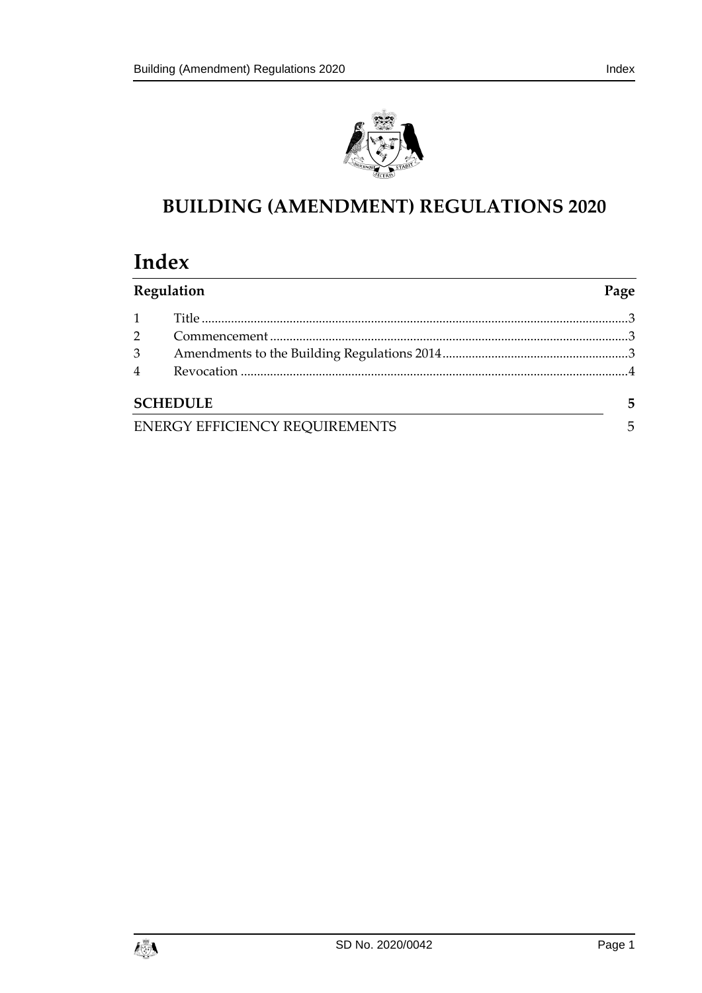

# **BUILDING (AMENDMENT) REGULATIONS 2020**

## **Index**

| Regulation                            |                 | Page |
|---------------------------------------|-----------------|------|
| $1 \quad \blacksquare$                |                 |      |
|                                       |                 |      |
| 3 <sup>1</sup>                        |                 |      |
| 4                                     |                 |      |
|                                       | <b>SCHEDULE</b> | 5    |
| <b>ENERGY EFFICIENCY REQUIREMENTS</b> |                 | 5    |

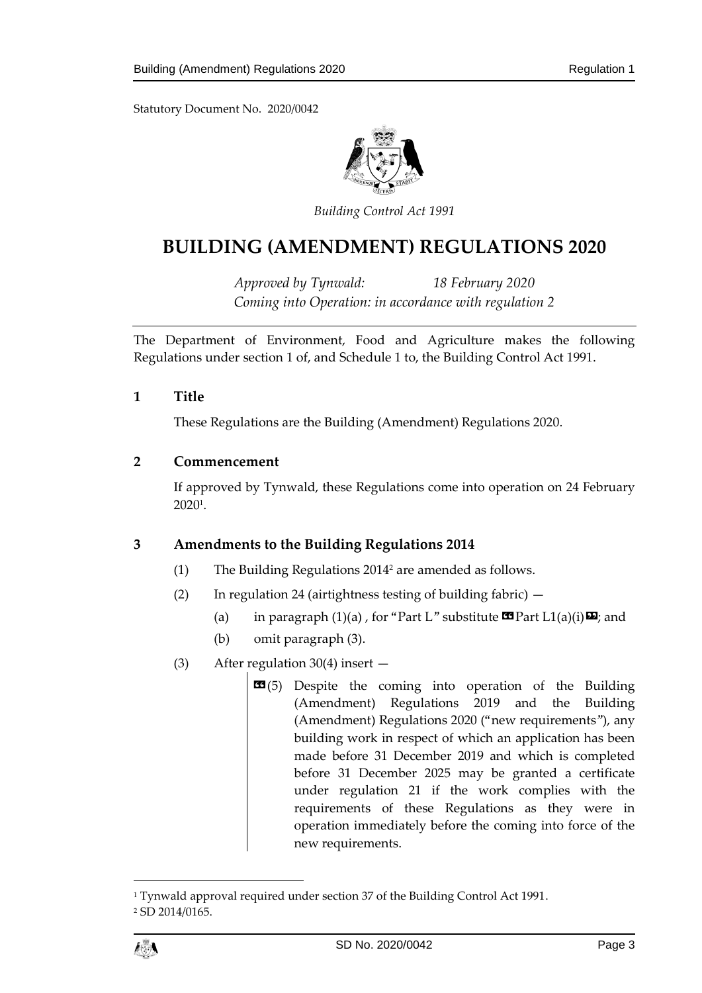

*Building Control Act 1991*

## **BUILDING (AMENDMENT) REGULATIONS 2020**

*Approved by Tynwald: 18 February 2020 Coming into Operation: in accordance with regulation 2*

The Department of Environment, Food and Agriculture makes the following Regulations under section 1 of, and Schedule 1 to, the Building Control Act 1991.

<span id="page-2-0"></span>**1 Title**

These Regulations are the Building (Amendment) Regulations 2020.

#### <span id="page-2-1"></span>**2 Commencement**

If approved by Tynwald, these Regulations come into operation on 24 February 2020<sup>1</sup> .

#### <span id="page-2-2"></span>**3 Amendments to the Building Regulations 2014**

- (1) The Building Regulations 2014<sup>2</sup> are amended as follows.
- (2) In regulation 24 (airtightness testing of building fabric)
	- (a) in paragraph (1)(a), for "Part L" substitute  $\mathbf{C}$ Part L1(a)(i) $\mathbf{E}$ ; and
	- (b) omit paragraph (3).
- (3) After regulation 30(4) insert
	- **EG**(5) Despite the coming into operation of the Building (Amendment) Regulations 2019 and the Building (Amendment) Regulations 2020 ("new requirements"), any building work in respect of which an application has been made before 31 December 2019 and which is completed before 31 December 2025 may be granted a certificate under regulation 21 if the work complies with the requirements of these Regulations as they were in operation immediately before the coming into force of the new requirements.

 $\overline{a}$ 

<sup>&</sup>lt;sup>1</sup> Tynwald approval required under section 37 of the Building Control Act 1991.

<sup>2</sup> SD 2014/0165.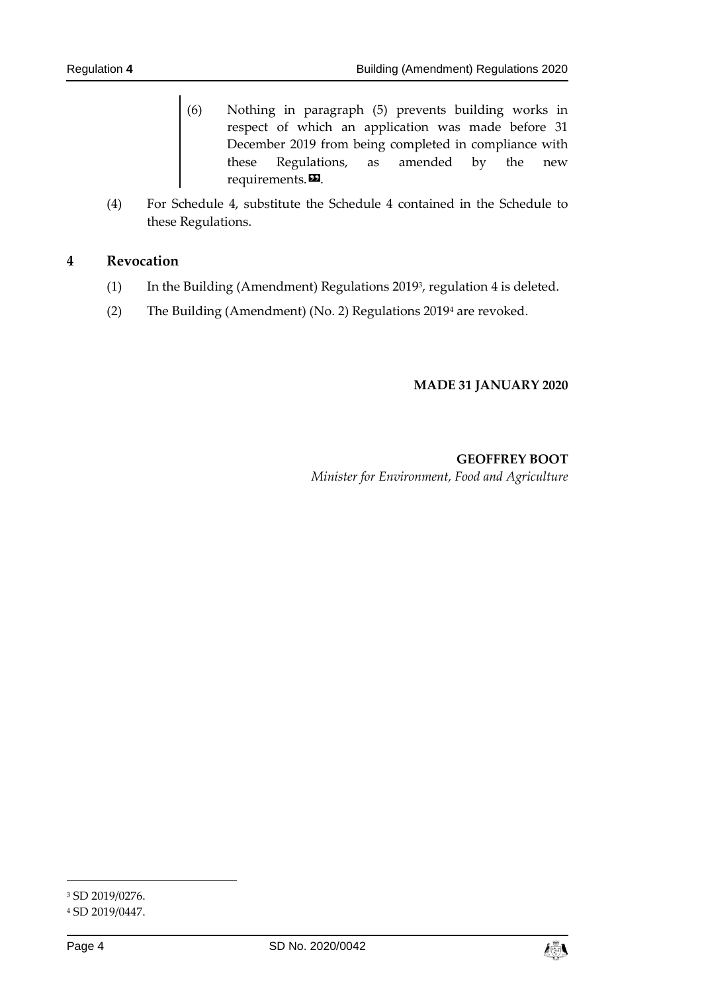- (6) Nothing in paragraph (5) prevents building works in respect of which an application was made before 31 December 2019 from being completed in compliance with these Regulations, as amended by the new requirements.
- (4) For Schedule 4, substitute the Schedule 4 contained in the Schedule to these Regulations.

#### <span id="page-3-0"></span>**4 Revocation**

- (1) In the Building (Amendment) Regulations 2019<sup>3</sup> , regulation 4 is deleted.
- (2) The Building (Amendment) (No. 2) Regulations 2019<sup>4</sup> are revoked.

#### **MADE 31 JANUARY 2020**

#### **GEOFFREY BOOT** *Minister for Environment, Food and Agriculture*

1 <sup>3</sup> SD 2019/0276.



<sup>4</sup> SD 2019/0447.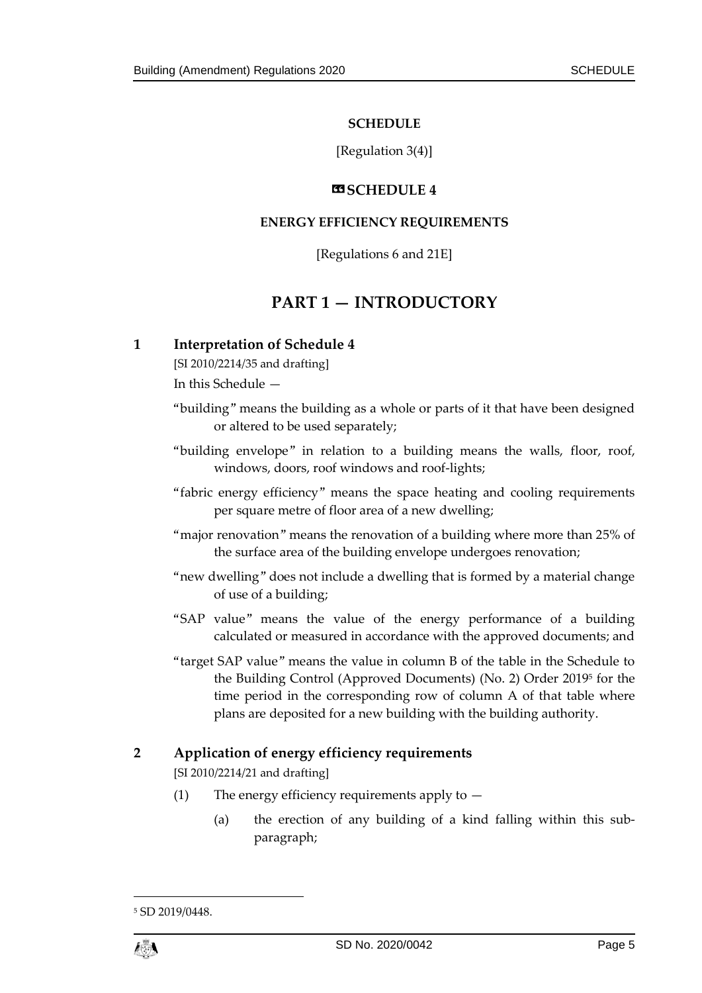#### **SCHEDULE**

[Regulation 3(4)]

#### **«SCHEDULE 4**

#### <span id="page-4-1"></span><span id="page-4-0"></span>**ENERGY EFFICIENCY REQUIREMENTS**

[Regulations 6 and 21E]

## **PART 1 — INTRODUCTORY**

#### **1 Interpretation of Schedule 4**

[SI 2010/2214/35 and drafting]

In this Schedule —

- "building" means the building as a whole or parts of it that have been designed or altered to be used separately;
- "building envelope" in relation to a building means the walls, floor, roof, windows, doors, roof windows and roof-lights;
- "fabric energy efficiency" means the space heating and cooling requirements per square metre of floor area of a new dwelling;
- "major renovation" means the renovation of a building where more than 25% of the surface area of the building envelope undergoes renovation;
- "new dwelling" does not include a dwelling that is formed by a material change of use of a building;
- "SAP value" means the value of the energy performance of a building calculated or measured in accordance with the approved documents; and
- "target SAP value" means the value in column B of the table in the Schedule to the Building Control (Approved Documents) (No. 2) Order 2019<sup>5</sup> for the time period in the corresponding row of column A of that table where plans are deposited for a new building with the building authority.

#### **2 Application of energy efficiency requirements**

[SI 2010/2214/21 and drafting]

- (1) The energy efficiency requirements apply to  $-$ 
	- (a) the erection of any building of a kind falling within this subparagraph;

<sup>5</sup> SD 2019/0448.



1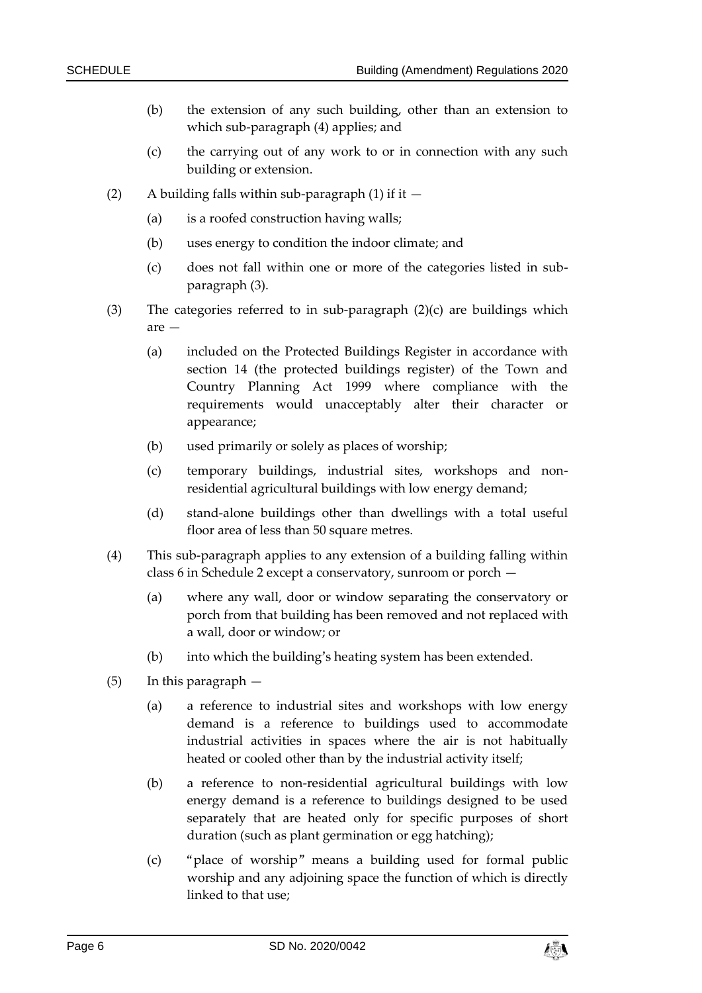- (b) the extension of any such building, other than an extension to which sub-paragraph (4) applies; and
- (c) the carrying out of any work to or in connection with any such building or extension.
- (2) A building falls within sub-paragraph (1) if it  $-$ 
	- (a) is a roofed construction having walls;
	- (b) uses energy to condition the indoor climate; and
	- (c) does not fall within one or more of the categories listed in subparagraph (3).
- (3) The categories referred to in sub-paragraph (2)(c) are buildings which are —
	- (a) included on the Protected Buildings Register in accordance with section 14 (the protected buildings register) of the Town and Country Planning Act 1999 where compliance with the requirements would unacceptably alter their character or appearance;
	- (b) used primarily or solely as places of worship;
	- (c) temporary buildings, industrial sites, workshops and nonresidential agricultural buildings with low energy demand;
	- (d) stand-alone buildings other than dwellings with a total useful floor area of less than 50 square metres.
- (4) This sub-paragraph applies to any extension of a building falling within class 6 in Schedule 2 except a conservatory, sunroom or porch —
	- (a) where any wall, door or window separating the conservatory or porch from that building has been removed and not replaced with a wall, door or window; or
	- (b) into which the building's heating system has been extended.
- (5) In this paragraph
	- (a) a reference to industrial sites and workshops with low energy demand is a reference to buildings used to accommodate industrial activities in spaces where the air is not habitually heated or cooled other than by the industrial activity itself;
	- (b) a reference to non-residential agricultural buildings with low energy demand is a reference to buildings designed to be used separately that are heated only for specific purposes of short duration (such as plant germination or egg hatching);
	- (c) "place of worship" means a building used for formal public worship and any adjoining space the function of which is directly linked to that use;

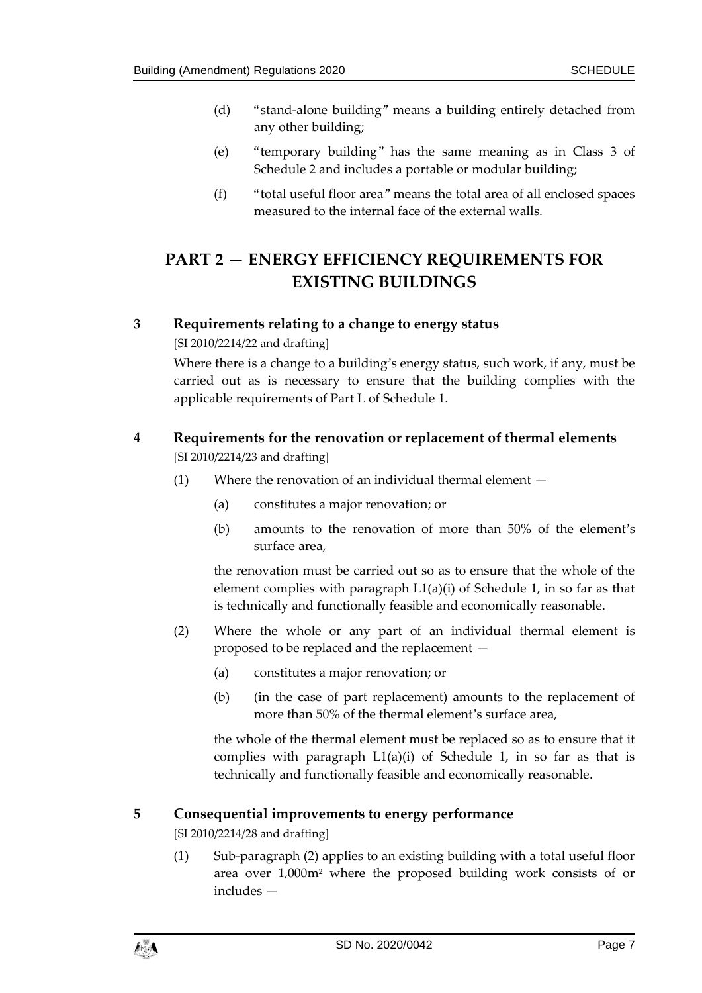- (d) "stand-alone building" means a building entirely detached from any other building;
- (e) "temporary building" has the same meaning as in Class 3 of Schedule 2 and includes a portable or modular building;
- (f) "total useful floor area" means the total area of all enclosed spaces measured to the internal face of the external walls.

## **PART 2 — ENERGY EFFICIENCY REQUIREMENTS FOR EXISTING BUILDINGS**

#### **3 Requirements relating to a change to energy status**

[SI 2010/2214/22 and drafting]

Where there is a change to a building's energy status, such work, if any, must be carried out as is necessary to ensure that the building complies with the applicable requirements of Part L of Schedule 1.

# **4 Requirements for the renovation or replacement of thermal elements**

[SI 2010/2214/23 and drafting]

- (1) Where the renovation of an individual thermal element
	- (a) constitutes a major renovation; or
	- (b) amounts to the renovation of more than 50% of the element's surface area,

the renovation must be carried out so as to ensure that the whole of the element complies with paragraph L1(a)(i) of Schedule 1, in so far as that is technically and functionally feasible and economically reasonable.

- (2) Where the whole or any part of an individual thermal element is proposed to be replaced and the replacement —
	- (a) constitutes a major renovation; or
	- (b) (in the case of part replacement) amounts to the replacement of more than 50% of the thermal element's surface area,

the whole of the thermal element must be replaced so as to ensure that it complies with paragraph L1(a)(i) of Schedule 1, in so far as that is technically and functionally feasible and economically reasonable.

#### **5 Consequential improvements to energy performance**

[SI 2010/2214/28 and drafting]

(1) Sub-paragraph (2) applies to an existing building with a total useful floor area over 1,000m<sup>2</sup> where the proposed building work consists of or includes —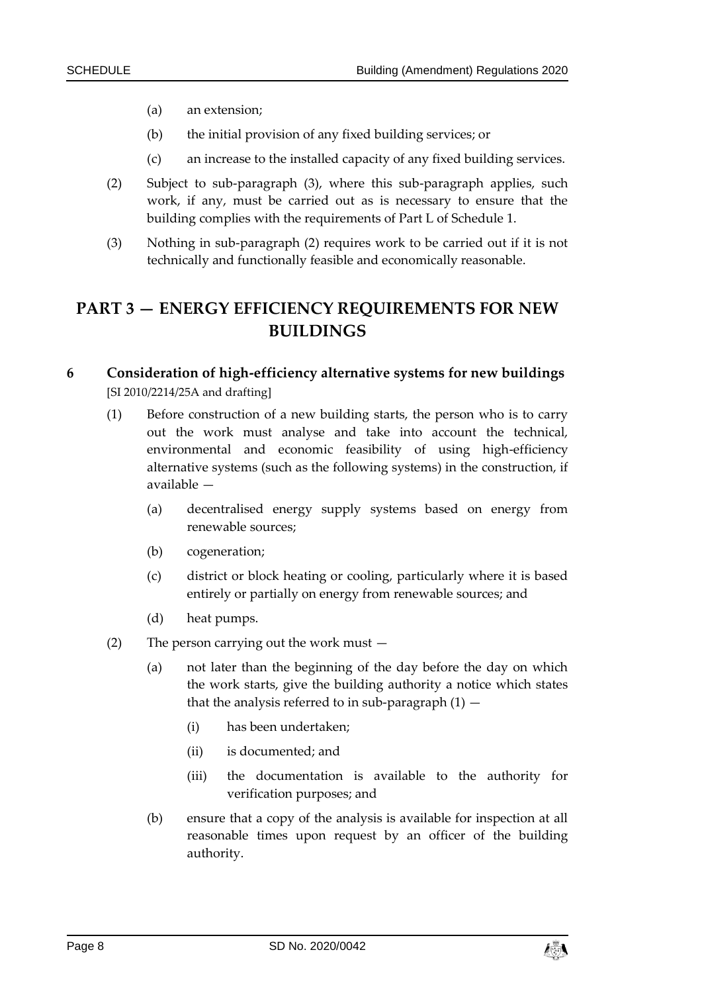- (a) an extension;
- (b) the initial provision of any fixed building services; or
- (c) an increase to the installed capacity of any fixed building services.
- (2) Subject to sub-paragraph (3), where this sub-paragraph applies, such work, if any, must be carried out as is necessary to ensure that the building complies with the requirements of Part L of Schedule 1.
- (3) Nothing in sub-paragraph (2) requires work to be carried out if it is not technically and functionally feasible and economically reasonable.

## **PART 3 — ENERGY EFFICIENCY REQUIREMENTS FOR NEW BUILDINGS**

#### **6 Consideration of high-efficiency alternative systems for new buildings** [SI 2010/2214/25A and drafting]

- (1) Before construction of a new building starts, the person who is to carry out the work must analyse and take into account the technical, environmental and economic feasibility of using high-efficiency alternative systems (such as the following systems) in the construction, if available —
	- (a) decentralised energy supply systems based on energy from renewable sources;
	- (b) cogeneration;
	- (c) district or block heating or cooling, particularly where it is based entirely or partially on energy from renewable sources; and
	- (d) heat pumps.
- (2) The person carrying out the work must
	- (a) not later than the beginning of the day before the day on which the work starts, give the building authority a notice which states that the analysis referred to in sub-paragraph  $(1)$  -
		- (i) has been undertaken;
		- (ii) is documented; and
		- (iii) the documentation is available to the authority for verification purposes; and
	- (b) ensure that a copy of the analysis is available for inspection at all reasonable times upon request by an officer of the building authority.

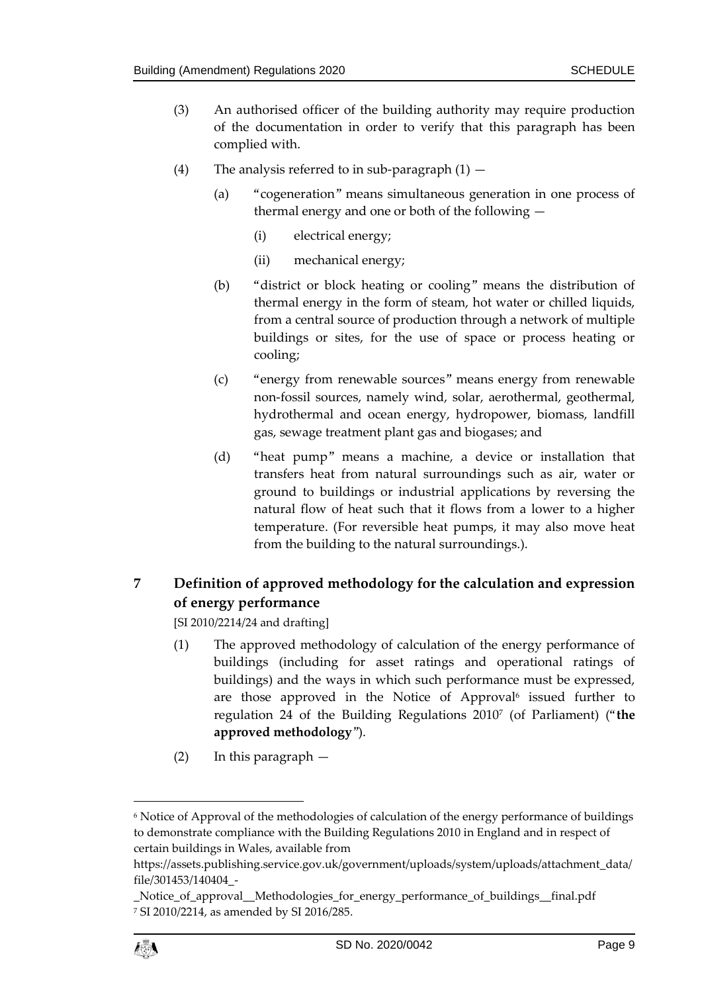- (3) An authorised officer of the building authority may require production of the documentation in order to verify that this paragraph has been complied with.
- (4) The analysis referred to in sub-paragraph  $(1)$ 
	- (a) "cogeneration" means simultaneous generation in one process of thermal energy and one or both of the following —
		- (i) electrical energy;
		- (ii) mechanical energy;
	- (b) "district or block heating or cooling" means the distribution of thermal energy in the form of steam, hot water or chilled liquids, from a central source of production through a network of multiple buildings or sites, for the use of space or process heating or cooling;
	- (c) "energy from renewable sources" means energy from renewable non-fossil sources, namely wind, solar, aerothermal, geothermal, hydrothermal and ocean energy, hydropower, biomass, landfill gas, sewage treatment plant gas and biogases; and
	- (d) "heat pump" means a machine, a device or installation that transfers heat from natural surroundings such as air, water or ground to buildings or industrial applications by reversing the natural flow of heat such that it flows from a lower to a higher temperature. (For reversible heat pumps, it may also move heat from the building to the natural surroundings.).

## **7 Definition of approved methodology for the calculation and expression of energy performance**

[SI 2010/2214/24 and drafting]

- (1) The approved methodology of calculation of the energy performance of buildings (including for asset ratings and operational ratings of buildings) and the ways in which such performance must be expressed, are those approved in the Notice of Approval<sup>6</sup> issued further to regulation 24 of the Building Regulations 2010<sup>7</sup> (of Parliament) ("**the approved methodology**").
- (2) In this paragraph —

1

<sup>6</sup> Notice of Approval of the methodologies of calculation of the energy performance of buildings to demonstrate compliance with the Building Regulations 2010 in England and in respect of certain buildings in Wales, available from

https://assets.publishing.service.gov.uk/government/uploads/system/uploads/attachment\_data/ file/301453/140404\_-

Notice of approval Methodologies for energy performance of buildings final.pdf <sup>7</sup> SI 2010/2214, as amended by SI 2016/285.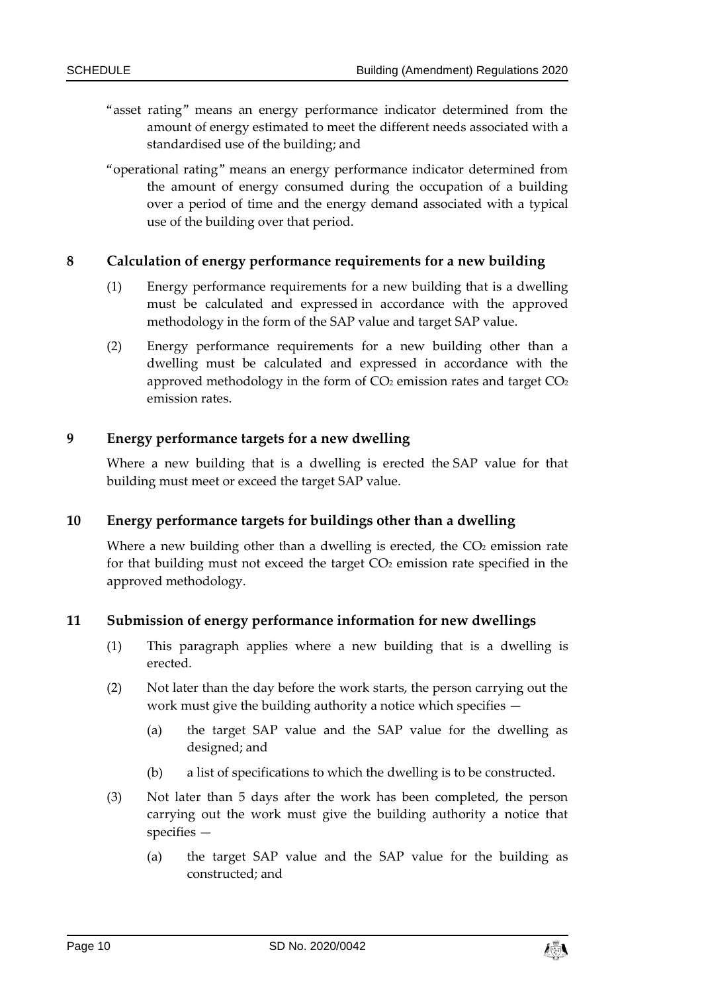- "asset rating" means an energy performance indicator determined from the amount of energy estimated to meet the different needs associated with a standardised use of the building; and
- "operational rating" means an energy performance indicator determined from the amount of energy consumed during the occupation of a building over a period of time and the energy demand associated with a typical use of the building over that period.

#### **8 Calculation of energy performance requirements for a new building**

- (1) Energy performance requirements for a new building that is a dwelling must be calculated and expressed in accordance with the approved methodology in the form of the SAP value and target SAP value.
- (2) Energy performance requirements for a new building other than a dwelling must be calculated and expressed in accordance with the approved methodology in the form of  $CO<sub>2</sub>$  emission rates and target  $CO<sub>2</sub>$ emission rates.

#### **9 Energy performance targets for a new dwelling**

Where a new building that is a dwelling is erected the SAP value for that building must meet or exceed the target SAP value.

#### **10 Energy performance targets for buildings other than a dwelling**

Where a new building other than a dwelling is erected, the  $CO<sub>2</sub>$  emission rate for that building must not exceed the target  $CO<sub>2</sub>$  emission rate specified in the approved methodology.

#### **11 Submission of energy performance information for new dwellings**

- (1) This paragraph applies where a new building that is a dwelling is erected.
- (2) Not later than the day before the work starts, the person carrying out the work must give the building authority a notice which specifies —
	- (a) the target SAP value and the SAP value for the dwelling as designed; and
	- (b) a list of specifications to which the dwelling is to be constructed.
- (3) Not later than 5 days after the work has been completed, the person carrying out the work must give the building authority a notice that specifies —
	- (a) the target SAP value and the SAP value for the building as constructed; and

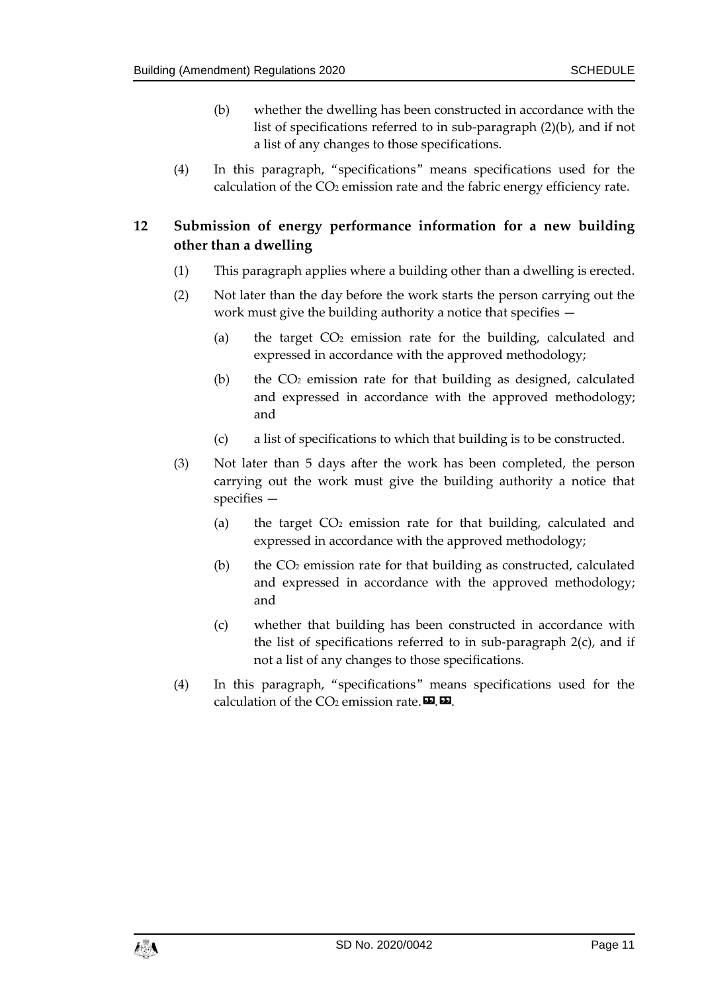- (b) whether the dwelling has been constructed in accordance with the list of specifications referred to in sub-paragraph (2)(b), and if not a list of any changes to those specifications.
- (4) In this paragraph, "specifications" means specifications used for the calculation of the CO<sub>2</sub> emission rate and the fabric energy efficiency rate.

#### **12 Submission of energy performance information for a new building other than a dwelling**

- (1) This paragraph applies where a building other than a dwelling is erected.
- (2) Not later than the day before the work starts the person carrying out the work must give the building authority a notice that specifies —
	- (a) the target  $CO<sub>2</sub>$  emission rate for the building, calculated and expressed in accordance with the approved methodology;
	- (b) the  $CO<sub>2</sub>$  emission rate for that building as designed, calculated and expressed in accordance with the approved methodology; and
	- (c) a list of specifications to which that building is to be constructed.
- (3) Not later than 5 days after the work has been completed, the person carrying out the work must give the building authority a notice that specifies —
	- (a) the target CO<sup>2</sup> emission rate for that building, calculated and expressed in accordance with the approved methodology;
	- (b) the  $CO<sub>2</sub>$  emission rate for that building as constructed, calculated and expressed in accordance with the approved methodology; and
	- (c) whether that building has been constructed in accordance with the list of specifications referred to in sub-paragraph  $2(c)$ , and if not a list of any changes to those specifications.
- (4) In this paragraph, "specifications" means specifications used for the calculation of the  $CO<sub>2</sub>$  emission rate.  $\boldsymbol{\mathsf{E}}$